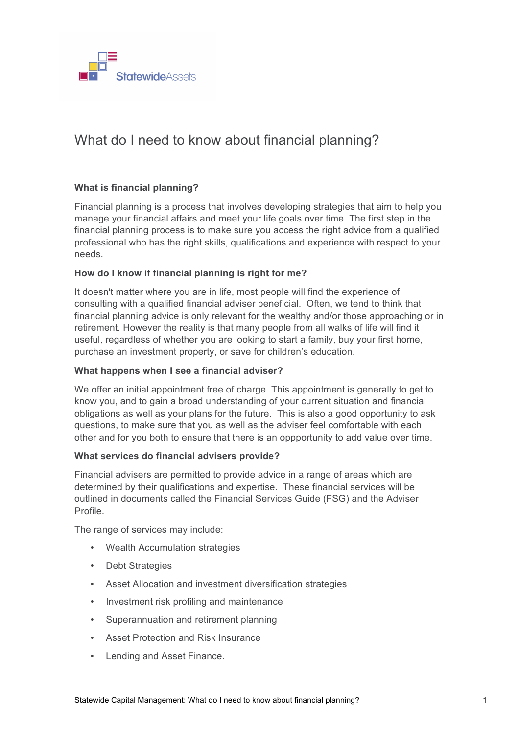

# What do I need to know about financial planning?

# **What is financial planning?**

Financial planning is a process that involves developing strategies that aim to help you manage your financial affairs and meet your life goals over time. The first step in the financial planning process is to make sure you access the right advice from a qualified professional who has the right skills, qualifications and experience with respect to your needs.

# **How do I know if financial planning is right for me?**

It doesn't matter where you are in life, most people will find the experience of consulting with a qualified financial adviser beneficial. Often, we tend to think that financial planning advice is only relevant for the wealthy and/or those approaching or in retirement. However the reality is that many people from all walks of life will find it useful, regardless of whether you are looking to start a family, buy your first home, purchase an investment property, or save for children's education.

#### **What happens when I see a financial adviser?**

We offer an initial appointment free of charge. This appointment is generally to get to know you, and to gain a broad understanding of your current situation and financial obligations as well as your plans for the future. This is also a good opportunity to ask questions, to make sure that you as well as the adviser feel comfortable with each other and for you both to ensure that there is an oppportunity to add value over time.

#### **What services do financial advisers provide?**

Financial advisers are permitted to provide advice in a range of areas which are determined by their qualifications and expertise. These financial services will be outlined in documents called the Financial Services Guide (FSG) and the Adviser Profile.

The range of services may include:

- Wealth Accumulation strategies
- Debt Strategies
- Asset Allocation and investment diversification strategies
- Investment risk profiling and maintenance
- Superannuation and retirement planning
- Asset Protection and Risk Insurance
- Lending and Asset Finance.